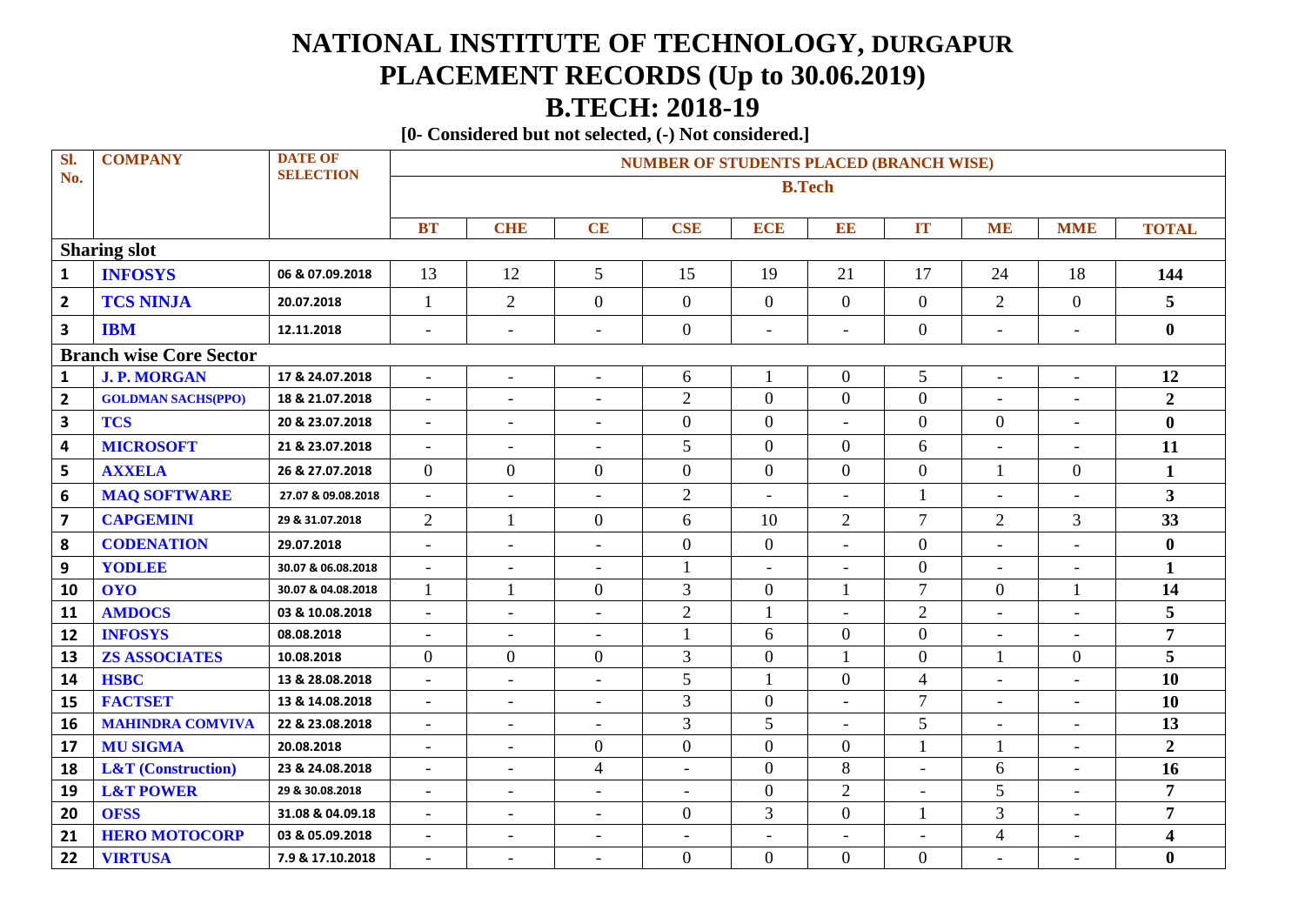## **NATIONAL INSTITUTE OF TECHNOLOGY, DURGAPUR PLACEMENT RECORDS (Up to 30.06.2019) B.TECH: 2018-19**

**[0- Considered but not selected, (-) Not considered.]**

| Sl.                            | <b>COMPANY</b>                | <b>DATE OF</b><br><b>SELECTION</b> | <b>NUMBER OF STUDENTS PLACED (BRANCH WISE)</b> |                          |                          |                          |                          |                          |                          |                          |                          |                         |  |
|--------------------------------|-------------------------------|------------------------------------|------------------------------------------------|--------------------------|--------------------------|--------------------------|--------------------------|--------------------------|--------------------------|--------------------------|--------------------------|-------------------------|--|
| No.                            |                               |                                    |                                                |                          |                          |                          |                          | <b>B.Tech</b>            |                          |                          |                          |                         |  |
|                                |                               |                                    | <b>BT</b>                                      | <b>CHE</b>               | <b>CE</b>                | <b>CSE</b>               | <b>ECE</b>               | B                        | <b>IT</b>                | <b>ME</b>                | <b>MME</b>               | <b>TOTAL</b>            |  |
|                                | <b>Sharing slot</b>           |                                    |                                                |                          |                          |                          |                          |                          |                          |                          |                          |                         |  |
| $\mathbf{1}$                   | <b>INFOSYS</b>                | 06 & 07.09.2018                    | 13                                             | 12                       | 5 <sup>1</sup>           | 15                       | 19                       | 21                       | 17                       | 24                       | 18                       | 144                     |  |
| $\overline{\mathbf{2}}$        | <b>TCS NINJA</b>              | 20.07.2018                         | 1                                              | $\overline{2}$           | $\overline{0}$           | $\boldsymbol{0}$         | $\overline{0}$           | $\boldsymbol{0}$         | $\boldsymbol{0}$         | $\overline{2}$           | $\overline{0}$           | 5                       |  |
| $\mathbf{3}$                   | <b>IBM</b>                    | 12.11.2018                         | $\overline{\phantom{a}}$                       | $\overline{\phantom{a}}$ | $\blacksquare$           | $\boldsymbol{0}$         | $\overline{\phantom{a}}$ | $\overline{\phantom{a}}$ | $\boldsymbol{0}$         | $\overline{\phantom{a}}$ | $\overline{a}$           | $\bf{0}$                |  |
| <b>Branch wise Core Sector</b> |                               |                                    |                                                |                          |                          |                          |                          |                          |                          |                          |                          |                         |  |
| $\mathbf{1}$                   | <b>J. P. MORGAN</b>           | 17 & 24.07.2018                    | $\blacksquare$                                 | $\overline{\phantom{a}}$ | $\blacksquare$           | 6                        |                          | $\boldsymbol{0}$         | 5                        | $\overline{\phantom{a}}$ | $\overline{\phantom{a}}$ | 12                      |  |
| $\mathbf{2}$                   | <b>GOLDMAN SACHS(PPO)</b>     | 18 & 21.07.2018                    | $\overline{\phantom{a}}$                       | $\overline{\phantom{a}}$ | $\overline{\phantom{a}}$ | $\overline{2}$           | $\theta$                 | $\overline{0}$           | $\overline{0}$           |                          | $\overline{\phantom{a}}$ | $\overline{2}$          |  |
| $\overline{\mathbf{3}}$        | <b>TCS</b>                    | 20 & 23.07.2018                    | $\overline{\phantom{a}}$                       | $\overline{a}$           | $\overline{\phantom{a}}$ | $\boldsymbol{0}$         | $\boldsymbol{0}$         | $\overline{\phantom{a}}$ | $\boldsymbol{0}$         | $\boldsymbol{0}$         | $\overline{\phantom{a}}$ | $\boldsymbol{0}$        |  |
| $\overline{\mathbf{4}}$        | <b>MICROSOFT</b>              | 21 & 23.07.2018                    | $\overline{\phantom{a}}$                       | $\blacksquare$           | $\overline{\phantom{a}}$ | 5                        | $\overline{0}$           | $\overline{0}$           | 6                        | $\overline{\phantom{a}}$ | $\equiv$                 | 11                      |  |
| 5                              | <b>AXXELA</b>                 | 26 & 27.07.2018                    | $\overline{0}$                                 | $\overline{0}$           | $\overline{0}$           | $\boldsymbol{0}$         | $\overline{0}$           | $\boldsymbol{0}$         | $\overline{0}$           | $\mathbf{1}$             | $\overline{0}$           | $\mathbf 1$             |  |
| 6                              | <b>MAQ SOFTWARE</b>           | 27.07 & 09.08.2018                 | $\bar{\phantom{a}}$                            | $\overline{\phantom{a}}$ | $\overline{\phantom{a}}$ | $\overline{2}$           | $\blacksquare$           | $\overline{\phantom{a}}$ | $\mathbf{1}$             | $\overline{\phantom{a}}$ | $\overline{\phantom{a}}$ | $\overline{\mathbf{3}}$ |  |
| $\overline{\mathbf{z}}$        | <b>CAPGEMINI</b>              | 29 & 31.07.2018                    | $\overline{2}$                                 | $\mathbf{1}$             | $\overline{0}$           | 6                        | 10                       | $\overline{2}$           | $\overline{7}$           | $\overline{2}$           | $\overline{3}$           | 33                      |  |
| 8                              | <b>CODENATION</b>             | 29.07.2018                         | $\overline{\phantom{a}}$                       | $\overline{\phantom{a}}$ | $\overline{\phantom{a}}$ | $\boldsymbol{0}$         | $\mathbf{0}$             | $\blacksquare$           | $\overline{0}$           | $\blacksquare$           | $\blacksquare$           | $\bf{0}$                |  |
| 9                              | YODLEE                        | 30.07 & 06.08.2018                 | $\overline{\phantom{a}}$                       | $\overline{\phantom{a}}$ | $\overline{\phantom{a}}$ | $\mathbf{1}$             | $\overline{\phantom{a}}$ | $\overline{\phantom{a}}$ | $\overline{0}$           | $\overline{\phantom{a}}$ | $\overline{\phantom{a}}$ | $\mathbf{1}$            |  |
| 10                             | <b>OYO</b>                    | 30.07 & 04.08.2018                 | 1                                              | 1                        | $\overline{0}$           | 3                        | $\theta$                 | 1                        | $\tau$                   | $\mathbf{0}$             | 1                        | 14                      |  |
| 11                             | <b>AMDOCS</b>                 | 03 & 10.08.2018                    | $\overline{\phantom{a}}$                       | $\blacksquare$           | $\overline{\phantom{a}}$ | $\sqrt{2}$               |                          | $\blacksquare$           | $\overline{2}$           | $\overline{\phantom{a}}$ | $\overline{\phantom{a}}$ | 5                       |  |
| 12                             | <b>INFOSYS</b>                | 08.08.2018                         | $\overline{\phantom{a}}$                       | $\overline{\phantom{a}}$ | $\overline{\phantom{a}}$ | $\mathbf{1}$             | 6                        | $\boldsymbol{0}$         | $\overline{0}$           | $\overline{\phantom{a}}$ | $\overline{a}$           | $\overline{7}$          |  |
| 13                             | <b>ZS ASSOCIATES</b>          | 10.08.2018                         | $\overline{0}$                                 | $\overline{0}$           | $\overline{0}$           | 3                        | $\boldsymbol{0}$         | $\mathbf{1}$             | $\boldsymbol{0}$         | $\mathbf{1}$             | $\mathbf{0}$             | 5                       |  |
| 14                             | <b>HSBC</b>                   | 13 & 28.08.2018                    | $\overline{\phantom{a}}$                       | $\overline{\phantom{a}}$ | $\overline{\phantom{a}}$ | 5                        |                          | $\mathbf{0}$             | $\overline{4}$           | $\overline{\phantom{a}}$ | $\equiv$                 | 10                      |  |
| 15                             | <b>FACTSET</b>                | 13 & 14.08.2018                    | $\overline{\phantom{a}}$                       | $\overline{\phantom{a}}$ | $\overline{\phantom{a}}$ | $\mathfrak{Z}$           | $\mathbf{0}$             | $\overline{\phantom{a}}$ | $\overline{7}$           | $\overline{\phantom{a}}$ | $\overline{a}$           | 10                      |  |
| 16                             | <b>MAHINDRA COMVIVA</b>       | 22 & 23.08.2018                    | $\overline{\phantom{a}}$                       | $\overline{\phantom{a}}$ | $\overline{\phantom{a}}$ | $\overline{3}$           | 5                        | $\overline{\phantom{a}}$ | 5                        | $\overline{\phantom{a}}$ | $\overline{\phantom{a}}$ | 13                      |  |
| 17                             | <b>MU SIGMA</b>               | 20.08.2018                         | $\overline{\phantom{a}}$                       | $\blacksquare$           | $\overline{0}$           | $\overline{0}$           | $\theta$                 | $\overline{0}$           | $\mathbf{1}$             | 1                        | $\equiv$                 | $\overline{2}$          |  |
| 18                             | <b>L&amp;T</b> (Construction) | 23 & 24.08.2018                    | $\overline{\phantom{a}}$                       | $\blacksquare$           | $\overline{4}$           | $\overline{a}$           | $\boldsymbol{0}$         | $8\,$                    | L,                       | 6                        | $\overline{a}$           | 16                      |  |
| 19                             | <b>L&amp;T POWER</b>          | 29 & 30.08.2018                    | $\overline{\phantom{a}}$                       | $\overline{\phantom{a}}$ | $\overline{\phantom{a}}$ | $\overline{\phantom{a}}$ | $\overline{0}$           | $\sqrt{2}$               | $\overline{\phantom{a}}$ | 5                        | $\overline{\phantom{a}}$ | $\overline{7}$          |  |
| 20                             | <b>OFSS</b>                   | 31.08 & 04.09.18                   | $\overline{\phantom{a}}$                       | $\overline{\phantom{a}}$ | $\overline{\phantom{a}}$ | $\overline{0}$           | 3                        | $\overline{0}$           | $\mathbf{1}$             | 3                        | $\equiv$                 | $\overline{7}$          |  |
| 21                             | <b>HERO MOTOCORP</b>          | 03 & 05.09.2018                    | $\overline{\phantom{a}}$                       | $\blacksquare$           |                          | $\overline{a}$           |                          |                          |                          | $\overline{4}$           | $\overline{a}$           | $\overline{\mathbf{4}}$ |  |
| 22                             | <b>VIRTUSA</b>                | 7.9 & 17.10.2018                   | $\overline{\phantom{a}}$                       | $\overline{\phantom{a}}$ | $\overline{\phantom{a}}$ | $\boldsymbol{0}$         | $\boldsymbol{0}$         | $\boldsymbol{0}$         | $\boldsymbol{0}$         | $\overline{\phantom{a}}$ | $\overline{\phantom{a}}$ | $\bf{0}$                |  |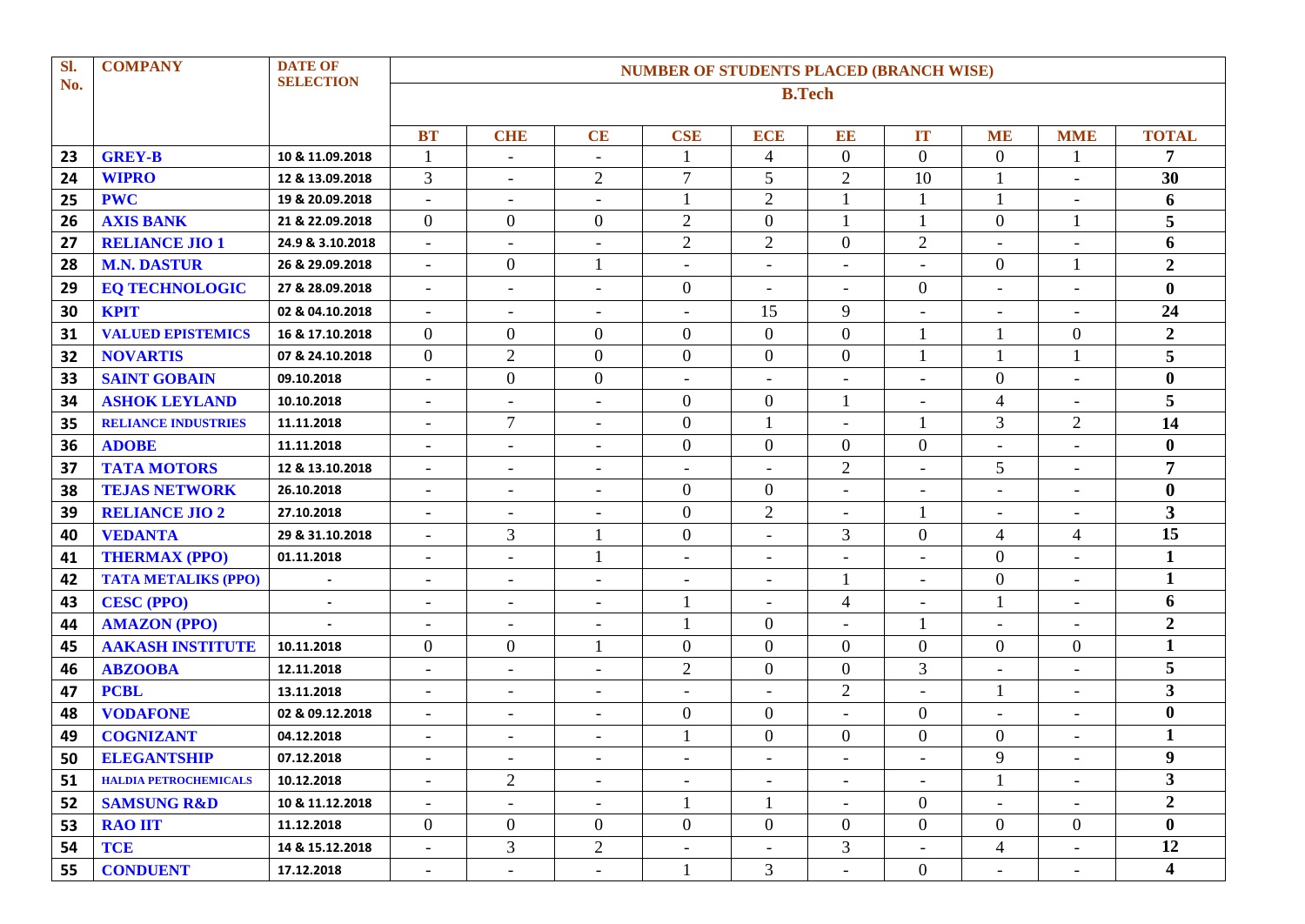| Sl. | <b>COMPANY</b>               | <b>DATE OF</b>   | <b>NUMBER OF STUDENTS PLACED (BRANCH WISE)</b> |                          |                          |                          |                          |                          |                          |                          |                          |                         |  |  |
|-----|------------------------------|------------------|------------------------------------------------|--------------------------|--------------------------|--------------------------|--------------------------|--------------------------|--------------------------|--------------------------|--------------------------|-------------------------|--|--|
| No. |                              | <b>SELECTION</b> | <b>B.Tech</b>                                  |                          |                          |                          |                          |                          |                          |                          |                          |                         |  |  |
|     |                              |                  |                                                |                          |                          |                          |                          |                          |                          |                          |                          |                         |  |  |
|     |                              |                  | <b>BT</b>                                      | <b>CHE</b>               | CE                       | <b>CSE</b>               | <b>ECE</b>               | EE                       | <b>IT</b>                | <b>ME</b>                | <b>MME</b>               | <b>TOTAL</b>            |  |  |
| 23  | <b>GREY-B</b>                | 10 & 11.09.2018  |                                                | $\blacksquare$           | $\overline{\phantom{a}}$ | $\mathbf{1}$             | $\overline{4}$           | $\boldsymbol{0}$         | $\overline{0}$           | $\boldsymbol{0}$         |                          | 7                       |  |  |
| 24  | <b>WIPRO</b>                 | 12 & 13.09.2018  | 3                                              | $\blacksquare$           | $\overline{2}$           | $\overline{7}$           | 5                        | $\overline{2}$           | 10                       | $\mathbf{1}$             | $\overline{\phantom{a}}$ | 30                      |  |  |
| 25  | <b>PWC</b>                   | 19 & 20.09.2018  | $\overline{\phantom{a}}$                       | $\overline{\phantom{a}}$ | $\overline{\phantom{a}}$ | $\mathbf{1}$             | $\overline{2}$           | $\mathbf{1}$             |                          | 1                        | $\overline{\phantom{a}}$ | 6                       |  |  |
| 26  | <b>AXIS BANK</b>             | 21 & 22.09.2018  | $\overline{0}$                                 | $\overline{0}$           | $\overline{0}$           | $\overline{2}$           | $\boldsymbol{0}$         | $\mathbf{1}$             | $\mathbf{1}$             | $\overline{0}$           | 1                        | 5                       |  |  |
| 27  | <b>RELIANCE JIO 1</b>        | 24.9 & 3.10.2018 | $\overline{\phantom{a}}$                       | $\blacksquare$           | $\overline{\phantom{a}}$ | $\mathbf{2}$             | $\overline{2}$           | $\overline{0}$           | $\overline{2}$           | $\blacksquare$           | $\overline{\phantom{a}}$ | 6                       |  |  |
| 28  | <b>M.N. DASTUR</b>           | 26 & 29.09.2018  | $\overline{\phantom{a}}$                       | $\overline{0}$           |                          | $\overline{\phantom{a}}$ |                          | $\overline{\phantom{a}}$ | $\overline{a}$           | $\boldsymbol{0}$         | 1                        | $\boldsymbol{2}$        |  |  |
| 29  | <b>EQ TECHNOLOGIC</b>        | 27 & 28.09.2018  | $\overline{\phantom{a}}$                       | $\overline{\phantom{a}}$ | $\overline{\phantom{a}}$ | $\overline{0}$           | $\overline{\phantom{0}}$ | $\overline{\phantom{a}}$ | $\Omega$                 | $\overline{\phantom{a}}$ | $\overline{\phantom{a}}$ | $\bf{0}$                |  |  |
| 30  | <b>KPIT</b>                  | 02 & 04.10.2018  | $\overline{\phantom{a}}$                       | $\overline{\phantom{a}}$ | $\overline{\phantom{a}}$ | $\overline{\phantom{m}}$ | 15                       | 9                        | $\overline{a}$           | $\overline{\phantom{a}}$ | $\overline{\phantom{0}}$ | 24                      |  |  |
| 31  | <b>VALUED EPISTEMICS</b>     | 16 & 17.10.2018  | $\overline{0}$                                 | $\overline{0}$           | $\overline{0}$           | $\mathbf{0}$             | $\boldsymbol{0}$         | $\overline{0}$           | $\mathbf{1}$             |                          | $\theta$                 | $\overline{2}$          |  |  |
| 32  | <b>NOVARTIS</b>              | 07 & 24.10.2018  | $\overline{0}$                                 | $\mathbf{2}$             | $\overline{0}$           | $\boldsymbol{0}$         | $\boldsymbol{0}$         | $\boldsymbol{0}$         | $\mathbf{1}$             | 1                        | 1                        | 5                       |  |  |
| 33  | <b>SAINT GOBAIN</b>          | 09.10.2018       | $\overline{\phantom{a}}$                       | $\boldsymbol{0}$         | $\overline{0}$           | $\overline{\phantom{a}}$ | $\overline{\phantom{a}}$ | $\overline{\phantom{a}}$ | $\overline{a}$           | $\boldsymbol{0}$         | $\overline{\phantom{a}}$ | $\bf{0}$                |  |  |
| 34  | <b>ASHOK LEYLAND</b>         | 10.10.2018       | $\overline{\phantom{a}}$                       | $\overline{a}$           | $\overline{\phantom{a}}$ | $\mathbf{0}$             | $\boldsymbol{0}$         | 1                        | $\overline{a}$           | 4                        | $\overline{a}$           | 5                       |  |  |
| 35  | <b>RELIANCE INDUSTRIES</b>   | 11.11.2018       | $\overline{\phantom{a}}$                       | $\overline{7}$           | $\overline{\phantom{a}}$ | $\boldsymbol{0}$         |                          | $\overline{\phantom{a}}$ |                          | 3                        | $\mathbf{2}$             | 14                      |  |  |
| 36  | <b>ADOBE</b>                 | 11.11.2018       | $\overline{\phantom{a}}$                       | $\overline{\phantom{a}}$ | $\overline{\phantom{a}}$ | $\boldsymbol{0}$         | $\overline{0}$           | $\boldsymbol{0}$         | $\overline{0}$           | $\overline{\phantom{a}}$ | $\overline{\phantom{a}}$ | $\bf{0}$                |  |  |
| 37  | <b>TATA MOTORS</b>           | 12 & 13.10.2018  | $\overline{\phantom{a}}$                       | $\overline{\phantom{a}}$ | $\overline{\phantom{a}}$ | $\overline{\phantom{a}}$ |                          | $\overline{2}$           | $\overline{a}$           | 5                        | $\overline{\phantom{0}}$ | $\overline{7}$          |  |  |
| 38  | <b>TEJAS NETWORK</b>         | 26.10.2018       | $\overline{\phantom{a}}$                       | $\overline{\phantom{a}}$ | $\overline{\phantom{a}}$ | $\overline{0}$           | $\overline{0}$           | $\overline{\phantom{a}}$ | $\overline{\phantom{a}}$ | $\overline{\phantom{a}}$ | $\overline{\phantom{a}}$ | $\boldsymbol{0}$        |  |  |
| 39  | <b>RELIANCE JIO 2</b>        | 27.10.2018       | $\blacksquare$                                 | $\blacksquare$           | $\overline{\phantom{a}}$ | $\boldsymbol{0}$         | $\overline{2}$           | $\overline{\phantom{a}}$ | 1                        | $\overline{\phantom{a}}$ | $\blacksquare$           | $\overline{\mathbf{3}}$ |  |  |
| 40  | <b>VEDANTA</b>               | 29 & 31.10.2018  | $\overline{\phantom{a}}$                       | 3                        |                          | $\boldsymbol{0}$         | $\overline{\phantom{a}}$ | 3                        | $\overline{0}$           | $\overline{4}$           | $\overline{4}$           | 15                      |  |  |
| 41  | <b>THERMAX (PPO)</b>         | 01.11.2018       | $\overline{\phantom{a}}$                       | $\blacksquare$           |                          | $\overline{\phantom{a}}$ | $\overline{a}$           | $\overline{\phantom{a}}$ | $\equiv$                 | $\overline{0}$           | $\overline{\phantom{a}}$ | $\mathbf{1}$            |  |  |
| 42  | <b>TATA METALIKS (PPO)</b>   |                  | $\overline{\phantom{a}}$                       | $\overline{\phantom{a}}$ | $\overline{\phantom{a}}$ | $\overline{a}$           |                          | $\mathbf{1}$             |                          | $\overline{0}$           | L,                       | $\mathbf{1}$            |  |  |
| 43  | <b>CESC (PPO)</b>            | $\blacksquare$   | $\overline{\phantom{a}}$                       | $\overline{\phantom{a}}$ | $\overline{\phantom{a}}$ | -1                       | $\overline{\phantom{a}}$ | $\overline{\mathcal{A}}$ | $\overline{\phantom{a}}$ |                          | $\overline{\phantom{a}}$ | 6                       |  |  |
| 44  | <b>AMAZON (PPO)</b>          |                  | $\blacksquare$                                 | $\blacksquare$           | $\blacksquare$           | $\mathbf{1}$             | $\mathbf{0}$             | $\blacksquare$           | 1                        | $\overline{\phantom{a}}$ | $\blacksquare$           | $\boldsymbol{2}$        |  |  |
| 45  | <b>AAKASH INSTITUTE</b>      | 10.11.2018       | $\overline{0}$                                 | $\overline{0}$           |                          | $\boldsymbol{0}$         | $\boldsymbol{0}$         | $\mathbf{0}$             | $\overline{0}$           | $\overline{0}$           | $\boldsymbol{0}$         | $\mathbf{1}$            |  |  |
| 46  | <b>ABZOOBA</b>               | 12.11.2018       | $\overline{\phantom{a}}$                       | $\blacksquare$           | $\overline{\phantom{a}}$ | $\overline{2}$           | $\overline{0}$           | $\boldsymbol{0}$         | 3                        | $\overline{\phantom{a}}$ | $\overline{a}$           | 5                       |  |  |
| 47  | <b>PCBL</b>                  | 13.11.2018       | $\overline{\phantom{a}}$                       | $\overline{\phantom{a}}$ | $\overline{\phantom{a}}$ | $\overline{\phantom{a}}$ |                          | $\overline{2}$           |                          |                          | $\overline{\phantom{a}}$ | $\mathbf{3}$            |  |  |
| 48  | <b>VODAFONE</b>              | 02 & 09.12.2018  | $\overline{\phantom{a}}$                       | $\overline{\phantom{a}}$ | $\overline{\phantom{a}}$ | $\overline{0}$           | $\overline{0}$           | $\overline{\phantom{a}}$ | $\boldsymbol{0}$         | $\overline{\phantom{a}}$ | $\overline{\phantom{a}}$ | $\boldsymbol{0}$        |  |  |
| 49  | <b>COGNIZANT</b>             | 04.12.2018       | $\blacksquare$                                 | $\blacksquare$           | $\blacksquare$           | $\mathbf{1}$             | $\overline{0}$           | $\overline{0}$           | $\overline{0}$           | $\boldsymbol{0}$         | $\blacksquare$           | $\mathbf{1}$            |  |  |
| 50  | <b>ELEGANTSHIP</b>           | 07.12.2018       | $\overline{\phantom{a}}$                       | $\sim$                   | $\sim$                   | $\overline{\phantom{a}}$ | $\overline{\phantom{a}}$ | $\sim$                   | $\overline{\phantom{a}}$ | 9                        | $-$                      | $\boldsymbol{9}$        |  |  |
| 51  | <b>HALDIA PETROCHEMICALS</b> | 10.12.2018       | $\overline{\phantom{a}}$                       | $\overline{2}$           | $ \,$                    | $\overline{\phantom{a}}$ | $\overline{\phantom{a}}$ | $\overline{\phantom{a}}$ | $\overline{\phantom{a}}$ | $\mathbf{1}$             | $\overline{\phantom{0}}$ | $\mathbf{3}$            |  |  |
| 52  | <b>SAMSUNG R&amp;D</b>       | 10 & 11.12.2018  | $\overline{\phantom{a}}$                       | $\overline{\phantom{a}}$ | $\overline{\phantom{a}}$ | $\mathbf{1}$             | $\mathbf{1}$             | $\overline{\phantom{a}}$ | $\overline{0}$           | $\overline{\phantom{a}}$ | $\overline{\phantom{a}}$ | $\overline{2}$          |  |  |
| 53  | <b>RAO IIT</b>               | 11.12.2018       | $\overline{0}$                                 | $\overline{0}$           | $\overline{0}$           | $\overline{0}$           | $\overline{0}$           | $\overline{0}$           | $\overline{0}$           | $\overline{0}$           | $\overline{0}$           | $\mathbf{0}$            |  |  |
| 54  | <b>TCE</b>                   | 14 & 15.12.2018  | $\overline{\phantom{a}}$                       | 3                        | $\overline{2}$           | $\overline{\phantom{a}}$ | $\overline{\phantom{a}}$ | 3                        | $\overline{\phantom{a}}$ | $\overline{4}$           | $\overline{\phantom{a}}$ | 12                      |  |  |
| 55  | <b>CONDUENT</b>              | 17.12.2018       | $\overline{\phantom{a}}$                       | $-$                      | $\sim$                   | $\mathbf{1}$             | $\mathfrak{Z}$           | $\overline{\phantom{a}}$ | $\overline{0}$           | $\overline{\phantom{a}}$ | $\overline{\phantom{a}}$ | $\overline{\mathbf{4}}$ |  |  |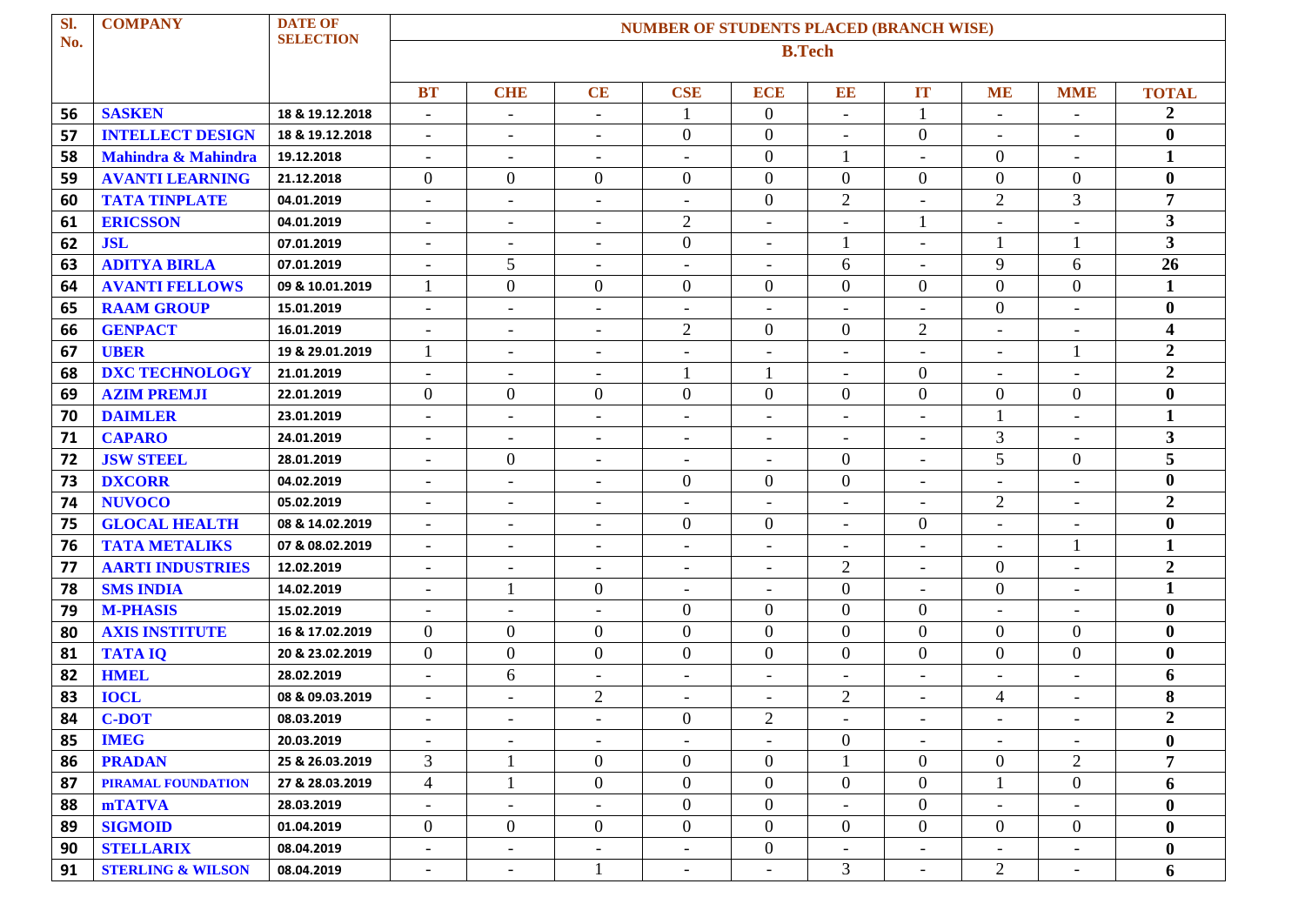| SI. | <b>COMPANY</b>               | <b>DATE OF</b>   | <b>NUMBER OF STUDENTS PLACED (BRANCH WISE)</b> |                          |                          |                          |                          |                          |                          |                          |                          |                         |  |
|-----|------------------------------|------------------|------------------------------------------------|--------------------------|--------------------------|--------------------------|--------------------------|--------------------------|--------------------------|--------------------------|--------------------------|-------------------------|--|
| No. |                              | <b>SELECTION</b> | <b>B.Tech</b>                                  |                          |                          |                          |                          |                          |                          |                          |                          |                         |  |
|     |                              |                  | <b>BT</b>                                      | <b>CHIE</b>              | CE                       | <b>CSE</b>               | <b>ECE</b>               | EE                       | IT                       | <b>ME</b>                | <b>MME</b>               | <b>TOTAL</b>            |  |
| 56  | <b>SASKEN</b>                | 18 & 19.12.2018  | $\blacksquare$                                 | $\overline{a}$           | $\blacksquare$           | 1                        | $\boldsymbol{0}$         | $\overline{\phantom{a}}$ | $\mathbf{1}$             | $\blacksquare$           | L,                       | $\boldsymbol{2}$        |  |
| 57  | <b>INTELLECT DESIGN</b>      | 18 & 19.12.2018  | $\blacksquare$                                 | $\overline{\phantom{a}}$ | $\overline{\phantom{a}}$ | $\boldsymbol{0}$         | $\boldsymbol{0}$         | $\overline{\phantom{a}}$ | $\overline{0}$           | $\blacksquare$           | $\blacksquare$           | $\bf{0}$                |  |
| 58  | Mahindra & Mahindra          | 19.12.2018       | $\overline{\phantom{a}}$                       | $\qquad \qquad -$        | $\overline{\phantom{a}}$ | $\overline{\phantom{0}}$ | $\boldsymbol{0}$         | 1                        |                          | $\boldsymbol{0}$         | $\overline{\phantom{0}}$ | $\mathbf{1}$            |  |
| 59  | <b>AVANTI LEARNING</b>       | 21.12.2018       | $\overline{0}$                                 | $\mathbf{0}$             | $\overline{0}$           | $\boldsymbol{0}$         | $\mathbf{0}$             | $\mathbf{0}$             | $\overline{0}$           | $\overline{0}$           | $\overline{0}$           | $\bf{0}$                |  |
| 60  | <b>TATA TINPLATE</b>         | 04.01.2019       | $\blacksquare$                                 | $\overline{\phantom{a}}$ | $\overline{\phantom{a}}$ | $\overline{\phantom{a}}$ | $\mathbf{0}$             | $\mathbf{2}$             |                          | $\overline{2}$           | $\overline{3}$           | 7                       |  |
| 61  | <b>ERICSSON</b>              | 04.01.2019       | $\overline{\phantom{a}}$                       | $\overline{\phantom{a}}$ | $\overline{\phantom{a}}$ | $\mathfrak{2}$           | $\overline{a}$           | $\overline{\phantom{a}}$ |                          | $\overline{\phantom{a}}$ |                          | $\overline{\mathbf{3}}$ |  |
| 62  | <b>JSL</b>                   | 07.01.2019       | $\overline{\phantom{a}}$                       | $\overline{\phantom{a}}$ | $\overline{\phantom{a}}$ | $\boldsymbol{0}$         | $\overline{\phantom{0}}$ | 1                        | $\overline{a}$           | 1                        | 1                        | $\overline{\mathbf{3}}$ |  |
| 63  | <b>ADITYA BIRLA</b>          | 07.01.2019       | $\overline{\phantom{a}}$                       | 5                        | $\overline{\phantom{a}}$ | $\overline{\phantom{a}}$ | $\blacksquare$           | 6                        | $\overline{\phantom{a}}$ | 9                        | 6                        | 26                      |  |
| 64  | <b>AVANTI FELLOWS</b>        | 09 & 10.01.2019  |                                                | $\overline{0}$           | $\overline{0}$           | $\boldsymbol{0}$         | $\mathbf{0}$             | $\boldsymbol{0}$         | $\boldsymbol{0}$         | $\overline{0}$           | $\mathbf{0}$             | $\mathbf{1}$            |  |
| 65  | <b>RAAM GROUP</b>            | 15.01.2019       | $\overline{\phantom{a}}$                       | $\overline{\phantom{a}}$ | $\sim$                   | $\overline{\phantom{a}}$ | $\overline{\phantom{a}}$ | $\overline{\phantom{a}}$ | $\overline{a}$           | $\overline{0}$           | $\overline{\phantom{a}}$ | $\bf{0}$                |  |
| 66  | <b>GENPACT</b>               | 16.01.2019       | $\overline{\phantom{a}}$                       | $\overline{\phantom{a}}$ | $\overline{\phantom{a}}$ | $\overline{2}$           | $\mathbf{0}$             | $\mathbf{0}$             | $\overline{2}$           | $\overline{\phantom{a}}$ | $-$                      | $\overline{\mathbf{4}}$ |  |
| 67  | <b>UBER</b>                  | 19 & 29.01.2019  |                                                | $\overline{\phantom{a}}$ | $\overline{\phantom{a}}$ | $\overline{\phantom{a}}$ |                          | $\overline{\phantom{a}}$ | $\overline{a}$           | $\overline{\phantom{a}}$ | 1                        | $\boldsymbol{2}$        |  |
| 68  | <b>DXC TECHNOLOGY</b>        | 21.01.2019       | $\overline{\phantom{a}}$                       | $\overline{\phantom{a}}$ | $\overline{\phantom{a}}$ | 1                        |                          | $\overline{\phantom{a}}$ | $\boldsymbol{0}$         | $\overline{\phantom{a}}$ | $\overline{\phantom{a}}$ | $\overline{2}$          |  |
| 69  | <b>AZIM PREMJI</b>           | 22.01.2019       | $\overline{0}$                                 | $\overline{0}$           | $\Omega$                 | $\overline{0}$           | $\overline{0}$           | $\theta$                 | $\overline{0}$           | $\overline{0}$           | $\overline{0}$           | $\bf{0}$                |  |
| 70  | <b>DAIMLER</b>               | 23.01.2019       | $\overline{\phantom{a}}$                       | $\overline{a}$           |                          | $\overline{a}$           |                          | $\overline{\phantom{a}}$ |                          | 1                        | L,                       | 1                       |  |
| 71  | <b>CAPARO</b>                | 24.01.2019       | $\overline{\phantom{a}}$                       | $\overline{\phantom{a}}$ | $\sim$                   | $\overline{\phantom{a}}$ | $\overline{\phantom{a}}$ | $\overline{\phantom{a}}$ | $\overline{\phantom{a}}$ | 3                        | $\overline{\phantom{a}}$ | 3                       |  |
| 72  | <b>JSW STEEL</b>             | 28.01.2019       | $\overline{\phantom{a}}$                       | $\overline{0}$           | $\overline{\phantom{a}}$ | $\overline{\phantom{a}}$ |                          | $\mathbf{0}$             | $\overline{\phantom{a}}$ | 5                        | $\overline{0}$           | 5                       |  |
| 73  | <b>DXCORR</b>                | 04.02.2019       | $\overline{\phantom{a}}$                       | $\overline{\phantom{0}}$ |                          | $\boldsymbol{0}$         | $\boldsymbol{0}$         | $\boldsymbol{0}$         | $\overline{a}$           | $\overline{\phantom{a}}$ | ۰                        | $\bf{0}$                |  |
| 74  | <b>NUVOCO</b>                | 05.02.2019       | $\overline{\phantom{a}}$                       | $\overline{\phantom{a}}$ | $-$                      | $\overline{\phantom{a}}$ | $\overline{\phantom{a}}$ | $\overline{\phantom{a}}$ | $\overline{\phantom{a}}$ | $\overline{2}$           | $\overline{\phantom{a}}$ | $\boldsymbol{2}$        |  |
| 75  | <b>GLOCAL HEALTH</b>         | 08 & 14.02.2019  | $\overline{\phantom{a}}$                       | $\overline{\phantom{a}}$ | $\blacksquare$           | $\overline{0}$           | $\overline{0}$           | $\overline{\phantom{a}}$ | $\overline{0}$           | $\overline{\phantom{a}}$ | $\overline{\phantom{a}}$ | $\bf{0}$                |  |
| 76  | <b>TATA METALIKS</b>         | 07 & 08.02.2019  | $\overline{\phantom{a}}$                       | $\overline{\phantom{0}}$ | $\overline{\phantom{a}}$ | $\blacksquare$           |                          | $\blacksquare$           |                          | $\sim$                   | 1                        | 1                       |  |
| 77  | <b>AARTI INDUSTRIES</b>      | 12.02.2019       | $\overline{\phantom{a}}$                       | $\overline{\phantom{a}}$ | $\overline{\phantom{a}}$ | $\overline{\phantom{a}}$ | $\overline{\phantom{a}}$ | $\overline{2}$           | $\overline{a}$           | $\overline{0}$           | $\overline{\phantom{0}}$ | $\boldsymbol{2}$        |  |
| 78  | <b>SMS INDIA</b>             | 14.02.2019       | $\overline{\phantom{a}}$                       | 1                        | $\overline{0}$           | $\overline{\phantom{a}}$ | $\blacksquare$           | $\mathbf{0}$             | $\overline{\phantom{a}}$ | $\overline{0}$           | $-$                      | $\mathbf{1}$            |  |
| 79  | <b>M-PHASIS</b>              | 15.02.2019       | $\overline{\phantom{a}}$                       | $\blacksquare$           |                          | $\overline{0}$           | $\mathbf{0}$             | $\mathbf{0}$             | $\boldsymbol{0}$         | $\overline{\phantom{a}}$ | $\blacksquare$           | $\bf{0}$                |  |
| 80  | <b>AXIS INSTITUTE</b>        | 16 & 17.02.2019  | $\overline{0}$                                 | $\boldsymbol{0}$         | $\mathbf{0}$             | $\boldsymbol{0}$         | $\mathbf{0}$             | $\boldsymbol{0}$         | $\overline{0}$           | $\overline{0}$           | $\mathbf{0}$             | $\bf{0}$                |  |
| 81  | <b>TATA IQ</b>               | 20 & 23.02.2019  | $\overline{0}$                                 | $\overline{0}$           | $\overline{0}$           | $\boldsymbol{0}$         | $\mathbf{0}$             | $\boldsymbol{0}$         | $\boldsymbol{0}$         | $\overline{0}$           | $\mathbf{0}$             | $\bf{0}$                |  |
| 82  | <b>HMEL</b>                  | 28.02.2019       | $\overline{\phantom{0}}$                       | 6                        |                          | $\overline{a}$           | $\overline{\phantom{a}}$ | $\overline{\phantom{0}}$ | $\overline{a}$           | $\overline{\phantom{a}}$ | $\blacksquare$           | 6                       |  |
| 83  | <b>IOCL</b>                  | 08 & 09.03.2019  | $\overline{\phantom{a}}$                       | $\overline{\phantom{0}}$ | $\overline{2}$           | $\overline{\phantom{a}}$ |                          | $\overline{2}$           | $\qquad \qquad -$        | 4                        | $\overline{\phantom{a}}$ | 8                       |  |
| 84  | <b>C-DOT</b>                 | 08.03.2019       | $\overline{\phantom{a}}$                       | $\overline{\phantom{a}}$ |                          | $\overline{0}$           | $\mathfrak{2}$           |                          |                          | $\overline{\phantom{a}}$ | $-$                      | $\boldsymbol{2}$        |  |
| 85  | <b>IMEG</b>                  | 20.03.2019       | $\overline{\phantom{0}}$                       | $\overline{\phantom{0}}$ | $\overline{\phantom{a}}$ |                          |                          | $\boldsymbol{0}$         |                          | $\sim$                   | $\overline{\phantom{0}}$ | $\bf{0}$                |  |
| 86  | <b>PRADAN</b>                | 25 & 26.03.2019  | 3                                              |                          | $\overline{0}$           | $\boldsymbol{0}$         | $\mathbf{0}$             | 1                        | $\mathbf{0}$             | $\overline{0}$           | $\overline{2}$           | 7                       |  |
| 87  | <b>PIRAMAL FOUNDATION</b>    | 27 & 28.03.2019  | $\overline{4}$                                 | 1                        | $\overline{0}$           | $\boldsymbol{0}$         | $\boldsymbol{0}$         | $\boldsymbol{0}$         | $\overline{0}$           | 1                        | $\overline{0}$           | 6                       |  |
| 88  | <b>mTATVA</b>                | 28.03.2019       | $\overline{\phantom{a}}$                       | $\overline{\phantom{a}}$ | $\overline{\phantom{a}}$ | $\overline{0}$           | $\boldsymbol{0}$         | $\blacksquare$           | $\overline{0}$           | $\overline{\phantom{a}}$ | $-$                      | $\bf{0}$                |  |
| 89  | <b>SIGMOID</b>               | 01.04.2019       | $\overline{0}$                                 | $\overline{0}$           | $\overline{0}$           | $\overline{0}$           | $\boldsymbol{0}$         | $\overline{0}$           | $\overline{0}$           | $\overline{0}$           | $\overline{0}$           | $\bf{0}$                |  |
| 90  | <b>STELLARIX</b>             | 08.04.2019       | $\overline{\phantom{a}}$                       | $\overline{\phantom{a}}$ | $\overline{\phantom{a}}$ | $\overline{\phantom{a}}$ | $\boldsymbol{0}$         | $\overline{\phantom{a}}$ | $\overline{\phantom{a}}$ | $\overline{\phantom{a}}$ | $\overline{\phantom{a}}$ | $\bf{0}$                |  |
| 91  | <b>STERLING &amp; WILSON</b> | 08.04.2019       | $\overline{\phantom{a}}$                       | $\overline{\phantom{a}}$ |                          | $\overline{\phantom{a}}$ |                          | 3                        | $\overline{\phantom{a}}$ | $\overline{2}$           | $-$                      | 6                       |  |